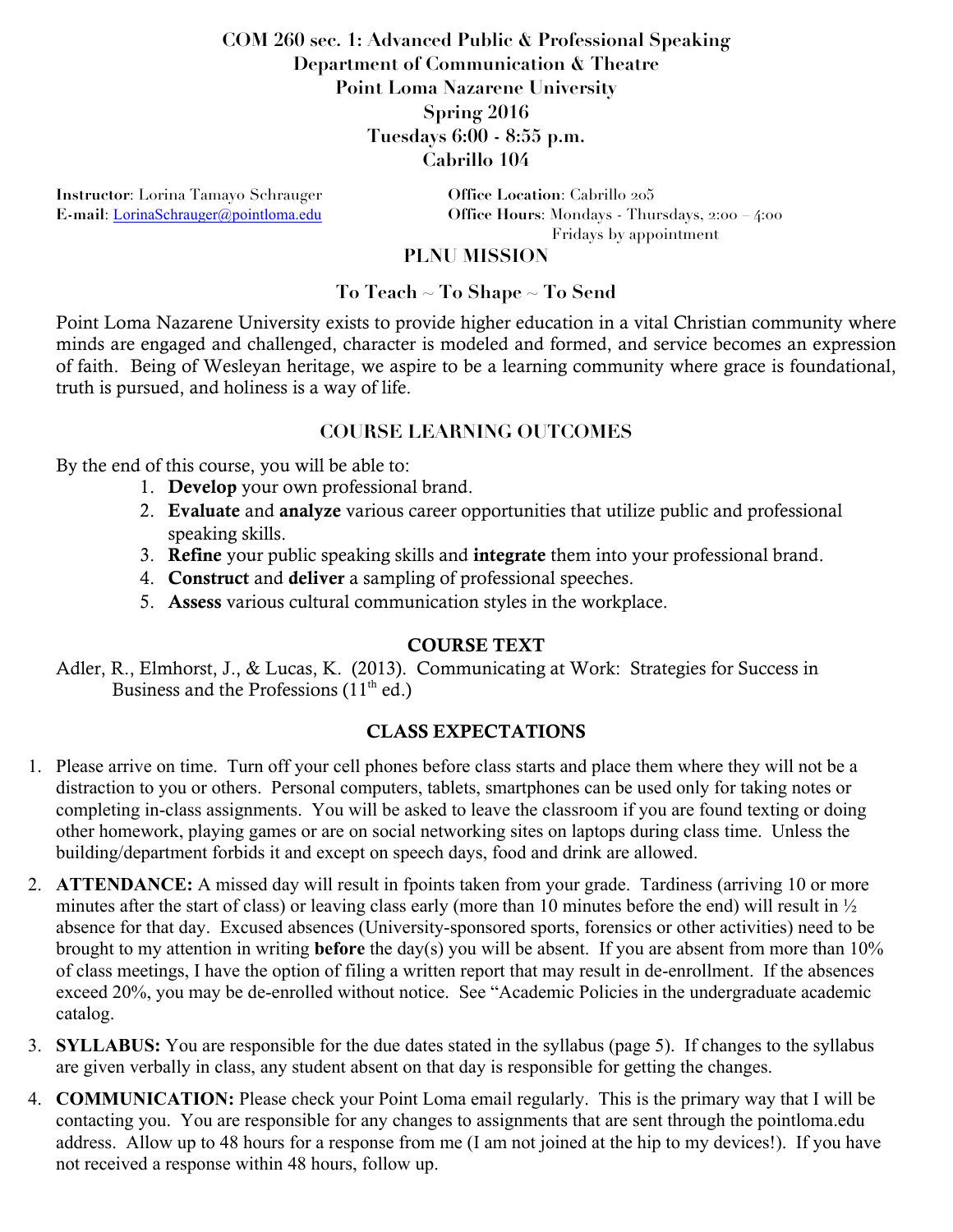# **COM 260 sec. 1: Advanced Public & Professional Speaking Department of Communication & Theatre Point Loma Nazarene University Spring 2016 Tuesdays 6:00 - 8:55 p.m. Cabrillo 104**

**Instructor**: Lorina Tamayo Schrauger **Office Location**: Cabrillo 205

**E-mail**: LorinaSchrauger@pointloma.edu **Office Hours**: Mondays - Thursdays, 2:00 – 4:00 Fridays by appointment

### **PLNU MISSION**

### **To Teach ~ To Shape ~ To Send**

Point Loma Nazarene University exists to provide higher education in a vital Christian community where minds are engaged and challenged, character is modeled and formed, and service becomes an expression of faith. Being of Wesleyan heritage, we aspire to be a learning community where grace is foundational, truth is pursued, and holiness is a way of life.

## **COURSE LEARNING OUTCOMES**

By the end of this course, you will be able to:

- 1. Develop your own professional brand.
- 2. Evaluate and analyze various career opportunities that utilize public and professional speaking skills.
- 3. Refine your public speaking skills and integrate them into your professional brand.
- 4. Construct and deliver a sampling of professional speeches.
- 5. Assess various cultural communication styles in the workplace.

### COURSE TEXT

Adler, R., Elmhorst, J., & Lucas, K. (2013). Communicating at Work: Strategies for Success in Business and the Professions  $(11<sup>th</sup>$  ed.)

### CLASS EXPECTATIONS

- 1. Please arrive on time. Turn off your cell phones before class starts and place them where they will not be a distraction to you or others. Personal computers, tablets, smartphones can be used only for taking notes or completing in-class assignments. You will be asked to leave the classroom if you are found texting or doing other homework, playing games or are on social networking sites on laptops during class time. Unless the building/department forbids it and except on speech days, food and drink are allowed.
- 2. **ATTENDANCE:** A missed day will result in fpoints taken from your grade. Tardiness (arriving 10 or more minutes after the start of class) or leaving class early (more than 10 minutes before the end) will result in ½ absence for that day. Excused absences (University-sponsored sports, forensics or other activities) need to be brought to my attention in writing **before** the day(s) you will be absent. If you are absent from more than 10% of class meetings, I have the option of filing a written report that may result in de-enrollment. If the absences exceed 20%, you may be de-enrolled without notice. See "Academic Policies in the undergraduate academic catalog.
- 3. **SYLLABUS:** You are responsible for the due dates stated in the syllabus (page 5). If changes to the syllabus are given verbally in class, any student absent on that day is responsible for getting the changes.
- 4. **COMMUNICATION:** Please check your Point Loma email regularly. This is the primary way that I will be contacting you. You are responsible for any changes to assignments that are sent through the pointloma.edu address. Allow up to 48 hours for a response from me (I am not joined at the hip to my devices!). If you have not received a response within 48 hours, follow up.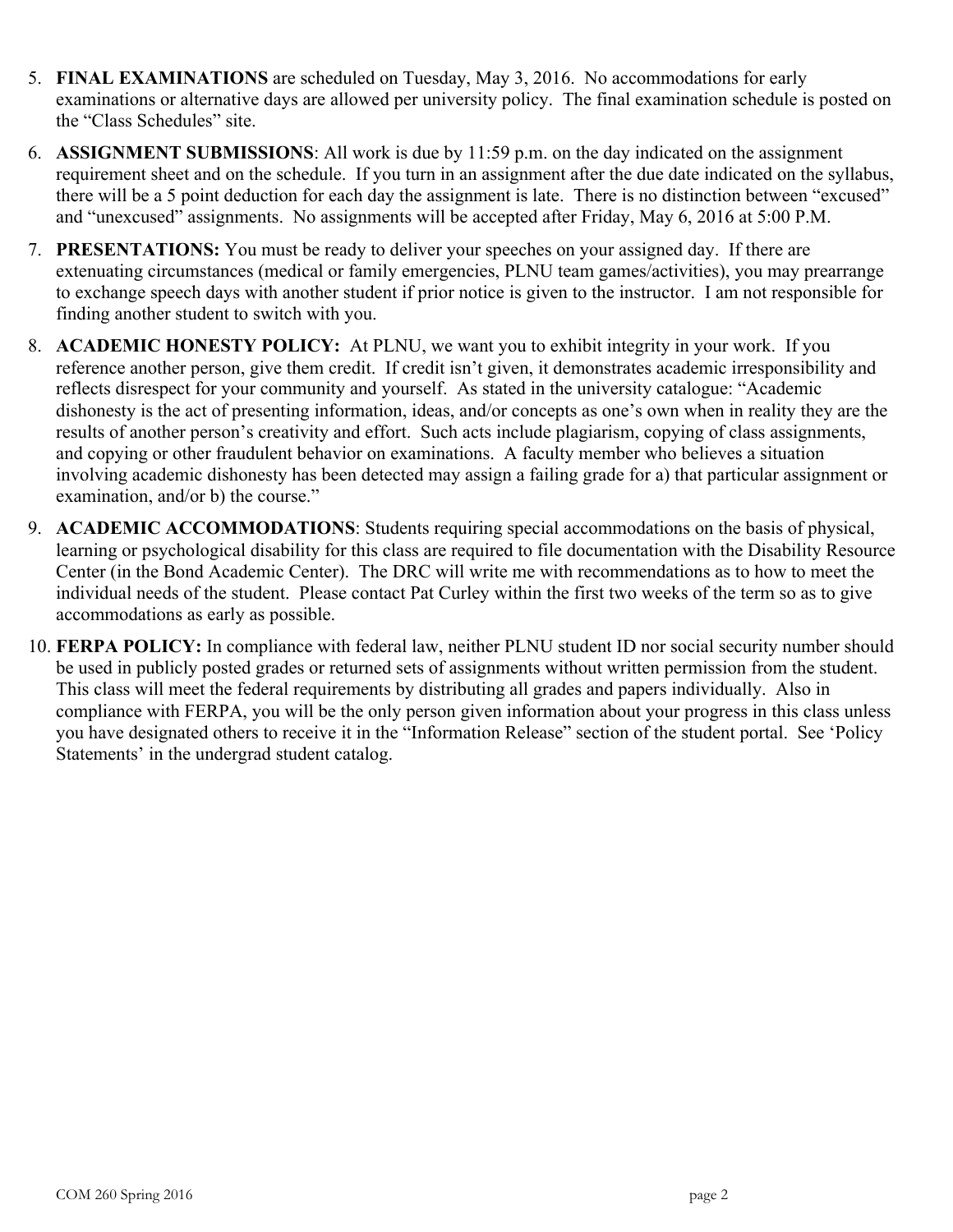- 5. **FINAL EXAMINATIONS** are scheduled on Tuesday, May 3, 2016. No accommodations for early examinations or alternative days are allowed per university policy. The final examination schedule is posted on the "Class Schedules" site.
- 6. **ASSIGNMENT SUBMISSIONS**: All work is due by 11:59 p.m. on the day indicated on the assignment requirement sheet and on the schedule. If you turn in an assignment after the due date indicated on the syllabus, there will be a 5 point deduction for each day the assignment is late. There is no distinction between "excused" and "unexcused" assignments. No assignments will be accepted after Friday, May 6, 2016 at 5:00 P.M.
- 7. **PRESENTATIONS:** You must be ready to deliver your speeches on your assigned day. If there are extenuating circumstances (medical or family emergencies, PLNU team games/activities), you may prearrange to exchange speech days with another student if prior notice is given to the instructor. I am not responsible for finding another student to switch with you.
- 8. **ACADEMIC HONESTY POLICY:** At PLNU, we want you to exhibit integrity in your work. If you reference another person, give them credit. If credit isn't given, it demonstrates academic irresponsibility and reflects disrespect for your community and yourself. As stated in the university catalogue: "Academic dishonesty is the act of presenting information, ideas, and/or concepts as one's own when in reality they are the results of another person's creativity and effort. Such acts include plagiarism, copying of class assignments, and copying or other fraudulent behavior on examinations. A faculty member who believes a situation involving academic dishonesty has been detected may assign a failing grade for a) that particular assignment or examination, and/or b) the course."
- 9. **ACADEMIC ACCOMMODATIONS**: Students requiring special accommodations on the basis of physical, learning or psychological disability for this class are required to file documentation with the Disability Resource Center (in the Bond Academic Center). The DRC will write me with recommendations as to how to meet the individual needs of the student. Please contact Pat Curley within the first two weeks of the term so as to give accommodations as early as possible.
- 10. **FERPA POLICY:** In compliance with federal law, neither PLNU student ID nor social security number should be used in publicly posted grades or returned sets of assignments without written permission from the student. This class will meet the federal requirements by distributing all grades and papers individually. Also in compliance with FERPA, you will be the only person given information about your progress in this class unless you have designated others to receive it in the "Information Release" section of the student portal. See 'Policy Statements' in the undergrad student catalog.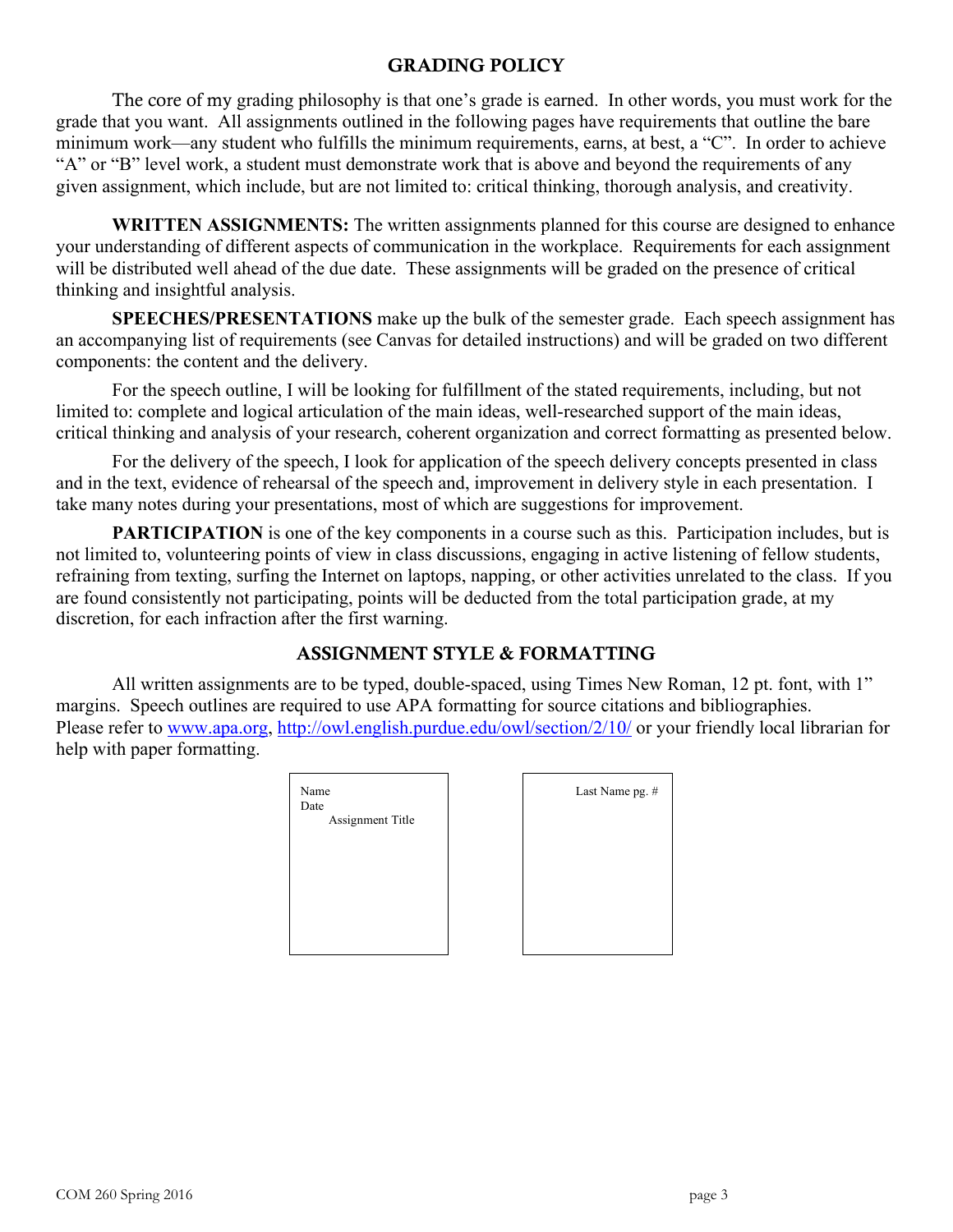#### GRADING POLICY

The core of my grading philosophy is that one's grade is earned. In other words, you must work for the grade that you want. All assignments outlined in the following pages have requirements that outline the bare minimum work—any student who fulfills the minimum requirements, earns, at best, a "C". In order to achieve "A" or "B" level work, a student must demonstrate work that is above and beyond the requirements of any given assignment, which include, but are not limited to: critical thinking, thorough analysis, and creativity.

WRITTEN ASSIGNMENTS: The written assignments planned for this course are designed to enhance your understanding of different aspects of communication in the workplace. Requirements for each assignment will be distributed well ahead of the due date. These assignments will be graded on the presence of critical thinking and insightful analysis.

**SPEECHES/PRESENTATIONS** make up the bulk of the semester grade. Each speech assignment has an accompanying list of requirements (see Canvas for detailed instructions) and will be graded on two different components: the content and the delivery.

For the speech outline, I will be looking for fulfillment of the stated requirements, including, but not limited to: complete and logical articulation of the main ideas, well-researched support of the main ideas, critical thinking and analysis of your research, coherent organization and correct formatting as presented below.

For the delivery of the speech, I look for application of the speech delivery concepts presented in class and in the text, evidence of rehearsal of the speech and, improvement in delivery style in each presentation. I take many notes during your presentations, most of which are suggestions for improvement.

**PARTICIPATION** is one of the key components in a course such as this. Participation includes, but is not limited to, volunteering points of view in class discussions, engaging in active listening of fellow students, refraining from texting, surfing the Internet on laptops, napping, or other activities unrelated to the class. If you are found consistently not participating, points will be deducted from the total participation grade, at my discretion, for each infraction after the first warning.

## ASSIGNMENT STYLE & FORMATTING

All written assignments are to be typed, double-spaced, using Times New Roman, 12 pt. font, with 1" margins. Speech outlines are required to use APA formatting for source citations and bibliographies. Please refer to www.apa.org, http://owl.english.purdue.edu/owl/section/2/10/ or your friendly local librarian for help with paper formatting.

Last Name pg. #

| Name<br>Date<br>Assignment Title |  |
|----------------------------------|--|
|                                  |  |
|                                  |  |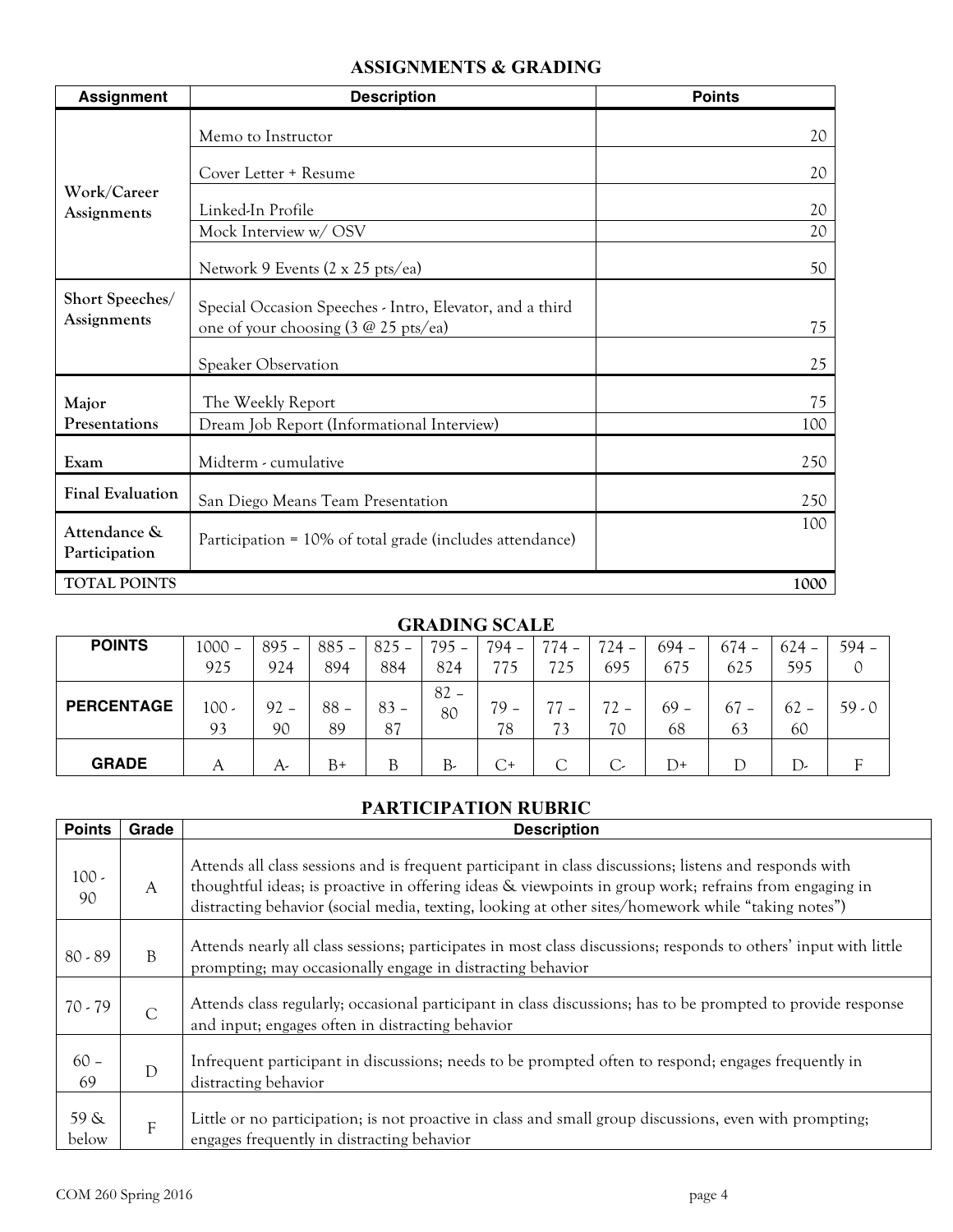## **ASSIGNMENTS & GRADING**

| <b>Assignment</b>              | <b>Description</b>                                                                                           | <b>Points</b> |
|--------------------------------|--------------------------------------------------------------------------------------------------------------|---------------|
|                                | Memo to Instructor                                                                                           | 20            |
| Work/Career                    | Cover Letter + Resume                                                                                        | 20            |
| Assignments                    | Linked-In Profile                                                                                            | 20            |
|                                | Mock Interview w/OSV                                                                                         | 20            |
|                                | Network 9 Events (2 x 25 pts/ea)                                                                             | 50            |
| Short Speeches/<br>Assignments | Special Occasion Speeches - Intro, Elevator, and a third<br>one of your choosing $(3 \ @ 25 \text{ pts/ea})$ | 75            |
|                                | <b>Speaker Observation</b>                                                                                   | 25            |
| Major                          | The Weekly Report                                                                                            | 75            |
| Presentations                  | Dream Job Report (Informational Interview)                                                                   | 100           |
| Exam                           | Midterm - cumulative                                                                                         | 250           |
| <b>Final Evaluation</b>        | San Diego Means Team Presentation                                                                            | 250           |
| Attendance &<br>Participation  | Participation = 10% of total grade (includes attendance)                                                     | 100           |
| <b>TOTAL POINTS</b>            |                                                                                                              | 1000          |

#### **GRADING SCALE**

| <b>POINTS</b>     | $1000 -$      | $895 -$      | $885 -$  | $825 -$      | $795 -$      | $794 -$      | $774 -$ | $724 -$      | $694 -$      | $674 -$  | $624 -$      | 594 –    |
|-------------------|---------------|--------------|----------|--------------|--------------|--------------|---------|--------------|--------------|----------|--------------|----------|
|                   | 925           | 924          | 894      | 884          | 824          |              | 725     | 695          | 675          | 625      | 595          |          |
| <b>PERCENTAGE</b> | $100 -$<br>93 | $92 -$<br>90 | 88<br>89 | $83 -$<br>87 | $82 -$<br>80 | $79 -$<br>78 | 73      | $72 -$<br>70 | $69 -$<br>68 | 67<br>63 | $62 -$<br>60 | $59 - 0$ |
| <b>GRADE</b>      | А             | A-           | B+       | B            | B-           | C+           |         |              | D+           |          | D,           |          |

# **PARTICIPATION RUBRIC**

| <b>Points</b> | Grade        | <b>Description</b>                                                                                                                                                                                                                                                                                                     |
|---------------|--------------|------------------------------------------------------------------------------------------------------------------------------------------------------------------------------------------------------------------------------------------------------------------------------------------------------------------------|
| $100 -$<br>90 | A            | Attends all class sessions and is frequent participant in class discussions; listens and responds with<br>thoughtful ideas; is proactive in offering ideas & viewpoints in group work; refrains from engaging in<br>distracting behavior (social media, texting, looking at other sites/homework while "taking notes") |
| $80 - 89$     | B            | Attends nearly all class sessions; participates in most class discussions; responds to others' input with little<br>prompting; may occasionally engage in distracting behavior                                                                                                                                         |
| $70 - 79$     | $\mathsf{C}$ | Attends class regularly; occasional participant in class discussions; has to be prompted to provide response<br>and input; engages often in distracting behavior                                                                                                                                                       |
| $60 -$<br>69  | D            | Infrequent participant in discussions; needs to be prompted often to respond; engages frequently in<br>distracting behavior                                                                                                                                                                                            |
| 59 &<br>below | F            | Little or no participation; is not proactive in class and small group discussions, even with prompting;<br>engages frequently in distracting behavior                                                                                                                                                                  |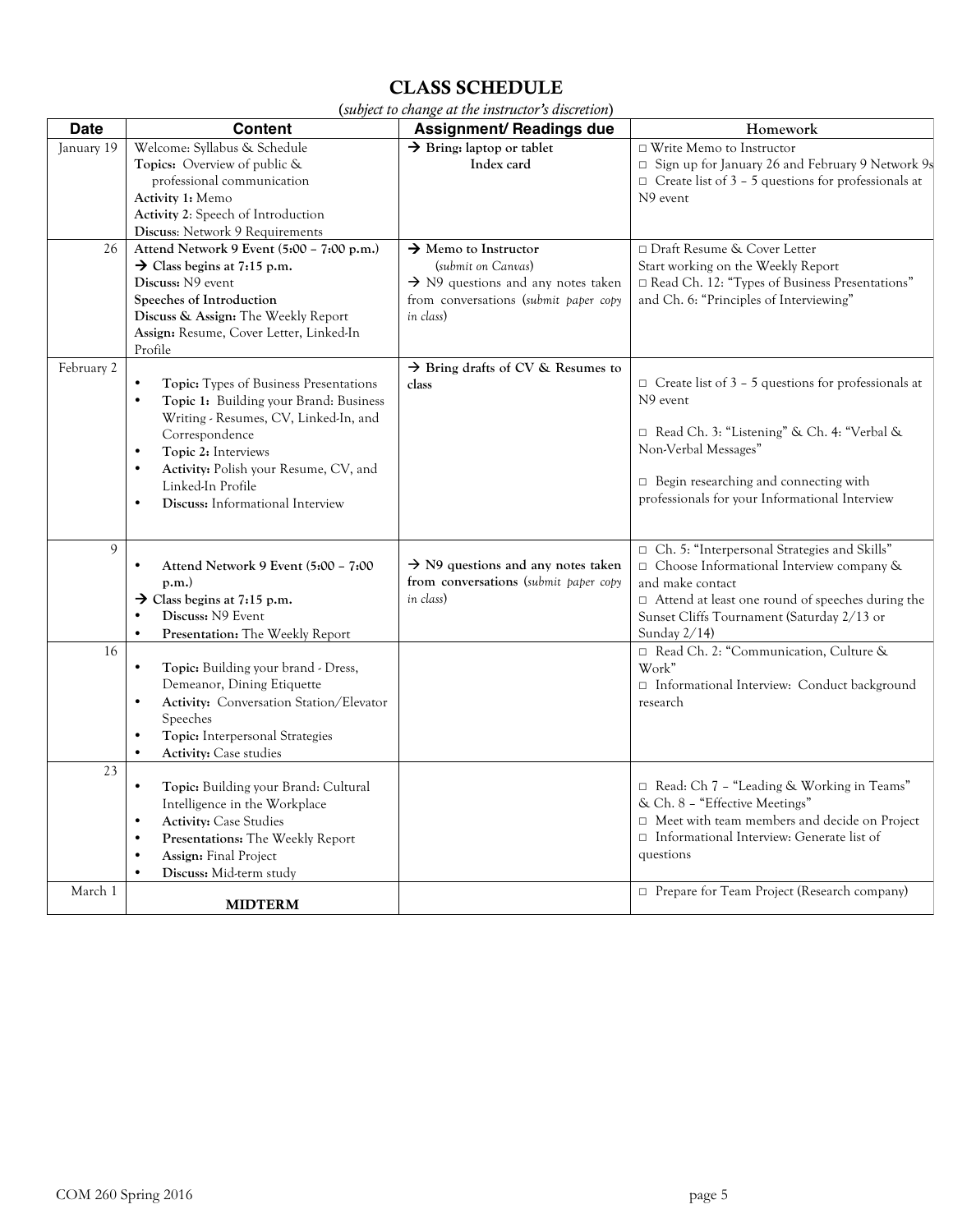## CLASS SCHEDULE

| (subject to change at the instructor's discretion) |  |  |  |  |  |
|----------------------------------------------------|--|--|--|--|--|
|----------------------------------------------------|--|--|--|--|--|

| <b>Date</b>     | <b>Content</b>                                                                                                                                                                                                                                                                                                     | Assignment/ Readings due                                                                                                                                       | Homework                                                                                                                                                                                                                                         |
|-----------------|--------------------------------------------------------------------------------------------------------------------------------------------------------------------------------------------------------------------------------------------------------------------------------------------------------------------|----------------------------------------------------------------------------------------------------------------------------------------------------------------|--------------------------------------------------------------------------------------------------------------------------------------------------------------------------------------------------------------------------------------------------|
| January 19      | Welcome: Syllabus & Schedule<br>Topics: Overview of public &<br>professional communication<br>Activity 1: Memo<br>Activity 2: Speech of Introduction<br>Discuss: Network 9 Requirements                                                                                                                            | $\rightarrow$ Bring: laptop or tablet<br>Index card                                                                                                            | $\Box$ Write Memo to Instructor<br>□ Sign up for January 26 and February 9 Network 9s<br>$\Box$ Create list of 3 - 5 questions for professionals at<br>N9 event                                                                                  |
| 26              | Attend Network 9 Event (5:00 - 7:00 p.m.)<br>$\rightarrow$ Class begins at 7:15 p.m.<br>Discuss: N9 event<br>Speeches of Introduction<br>Discuss & Assign: The Weekly Report<br>Assign: Resume, Cover Letter, Linked-In<br>Profile                                                                                 | $\rightarrow$ Memo to Instructor<br>(submit on Canvas)<br>$\rightarrow$ N9 questions and any notes taken<br>from conversations (submit paper copy<br>in class) | □ Draft Resume & Cover Letter<br>Start working on the Weekly Report<br>□ Read Ch. 12: "Types of Business Presentations"<br>and Ch. 6: "Principles of Interviewing"                                                                               |
| February 2      | <b>Topic:</b> Types of Business Presentations<br>$\bullet$<br>Topic 1: Building your Brand: Business<br>Writing - Resumes, CV, Linked-In, and<br>Correspondence<br>Topic 2: Interviews<br>$\bullet$<br>Activity: Polish your Resume, CV, and<br>$\bullet$<br>Linked-In Profile<br>Discuss: Informational Interview | $\rightarrow$ Bring drafts of CV & Resumes to<br>class                                                                                                         | $\Box$ Create list of 3 – 5 questions for professionals at<br>N9 event<br>□ Read Ch. 3: "Listening" & Ch. 4: "Verbal &<br>Non-Verbal Messages"<br>$\Box$ Begin researching and connecting with<br>professionals for your Informational Interview |
| $\mathbf{Q}$    | Attend Network 9 Event (5:00 - 7:00<br>p.m.<br>$\rightarrow$ Class begins at 7:15 p.m.<br>Discuss: N9 Event<br>Presentation: The Weekly Report<br>$\bullet$                                                                                                                                                        | $\rightarrow$ N9 questions and any notes taken<br>from conversations (submit paper copy<br>in class)                                                           | Ch. 5: "Interpersonal Strategies and Skills"<br>□ Choose Informational Interview company &<br>and make contact<br>□ Attend at least one round of speeches during the<br>Sunset Cliffs Tournament (Saturday 2/13 or<br>Sunday $2/14$ )            |
| 16              | Topic: Building your brand - Dress,<br>$\bullet$<br>Demeanor, Dining Etiquette<br>Activity: Conversation Station/Elevator<br>Speeches<br>Topic: Interpersonal Strategies<br><b>Activity:</b> Case studies<br>$\bullet$                                                                                             |                                                                                                                                                                | □ Read Ch. 2: "Communication, Culture &<br>Work"<br>$\Box$ Informational Interview: Conduct background<br>research                                                                                                                               |
| $\overline{23}$ | Topic: Building your Brand: Cultural<br>Intelligence in the Workplace<br><b>Activity: Case Studies</b><br>$\bullet$<br>Presentations: The Weekly Report<br>$\bullet$<br><b>Assign:</b> Final Project<br>Discuss: Mid-term study<br>$\bullet$                                                                       |                                                                                                                                                                | □ Read: Ch 7 - "Leading & Working in Teams"<br>& Ch. 8 - "Effective Meetings"<br>$\Box$ Meet with team members and decide on Project<br>□ Informational Interview: Generate list of<br>questions                                                 |
| March 1         | <b>MIDTERM</b>                                                                                                                                                                                                                                                                                                     |                                                                                                                                                                | Prepare for Team Project (Research company)                                                                                                                                                                                                      |